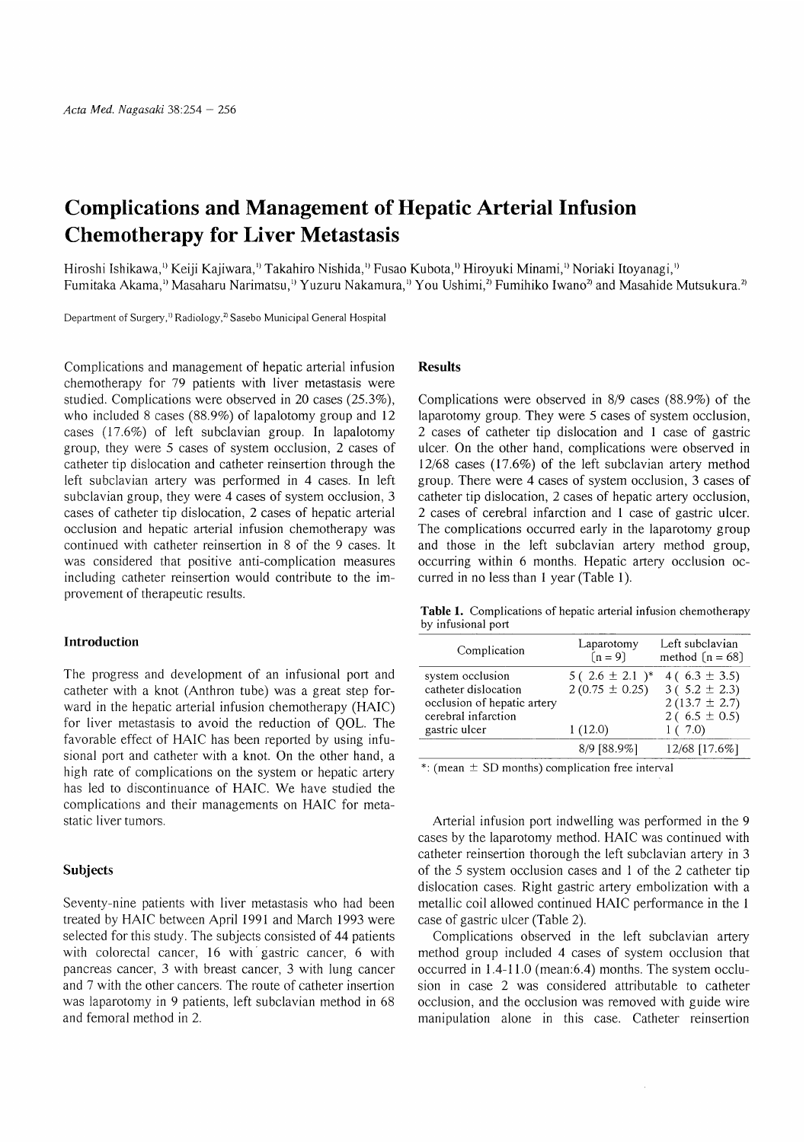# Complications and Management of Hepatic Arterial Infusion Chemotherapy for Liver Metastasis

Hiroshi Ishikawa,<sup>1)</sup> Keiji Kajiwara,<sup>1)</sup> Takahiro Nishida,<sup>1)</sup> Fusao Kubota,<sup>1)</sup> Hiroyuki Minami,<sup>1)</sup> Noriaki Itoyanagi,<sup>1)</sup> Fumitaka Akama,<sup>1)</sup> Masaharu Narimatsu,<sup>1)</sup> Yuzuru Nakamura,<sup>1</sup>) You Ushimi,<sup>2</sup> Fumihiko Iwano<sup>2</sup> and Masahide Mutsukura.<sup>2</sup>

Department of Surgery,<sup>1)</sup> Radiology,<sup>2)</sup> Sasebo Municipal General Hospital

Complications and management of hepatic arterial infusion chemotherapy for 79 patients with liver metastasis were studied. Complications were observed in 20 cases (25.3%), who included 8 cases (88.9%) of lapalotomy group and 12 cases (17.6%) of left subclavian group. In lapalotomy group, they were 5 cases of system occlusion, 2 cases of catheter tip dislocation and catheter reinsertion through the left subclavian artery was performed in 4 cases. In left subclavian group, they were 4 cases of system occlusion, 3 cases of catheter tip dislocation, 2 cases of hepatic arterial occlusion and hepatic arterial infusion chemotherapy was continued with catheter reinsertion in 8 of the 9 cases. It was considered that positive anti-complication measures including catheter reinsertion would contribute to the improvement of therapeutic results.

### Introduction

The progress and development of an infusional port and catheter with a knot (Anthron tube) was a great step forward in the hepatic arterial infusion chemotherapy (HAIC) for liver metastasis to avoid the reduction of QOL. The favorable effect of HAIC has been reported by using infusional port and catheter with a knot. On the other hand, a high rate of complications on the system or hepatic artery has led to discontinuance of HAIC. We have studied the complications and their managements on HAIC for metastatic liver tumors.

#### Subjects

Seventy-nine patients with liver metastasis who had been treated by HAIC between April 1991 and March 1993 were selected for this study. The subjects consisted of 44 patients with colorectal cancer, 16 with gastric cancer, 6 with pancreas cancer, 3 with breast cancer, 3 with lung cancer and 7 with the other cancers. The route of catheter insertion was laparotomy in 9 patients, left subclavian method in 68 and femoral method in 2.

#### Results

Complications were observed in 8/9 cases (88.9%) of the laparotomy group. They were 5 cases of system occlusion, 2 cases of catheter tip dislocation and 1 case of gastric ulcer. On the other hand, complications were observed in 12/68 cases (17.6%) of the left subclavian artery method group. There were 4 cases of system occlusion, 3 cases of catheter tip dislocation, 2 cases of hepatic artery occlusion, 2 cases of cerebral infarction and 1 case of gastric ulcer. The complications occurred early in the laparotomy group and those in the left subclavian artery method group, occurring within 6 months. Hepatic artery occlusion occurred in no less than 1 year (Table 1).

Table 1. Complications of hepatic arterial infusion chemotherapy by infusional port

| Complication                                        | Laparotomy<br>$[n=9]$ | Left subclavian<br>method $[n = 68]$  |
|-----------------------------------------------------|-----------------------|---------------------------------------|
| system occlusion                                    | 5 (2.6 $\pm$ 2.1 )*   | 4 (6.3 $\pm$ 3.5)                     |
| catheter dislocation<br>occlusion of hepatic artery | $2(0.75 \pm 0.25)$    | $3(5.2 \pm 2.3)$<br>$2(13.7 \pm 2.7)$ |
| cerebral infarction                                 |                       | 2 (6.5 $\pm$ 0.5)                     |
| gastric ulcer                                       | 1(12.0)               | 1(7.0)                                |
|                                                     | 8/9 [88.9%]           | 12/68 [17.6%]                         |

 $*$ : (mean  $\pm$  SD months) complication free interval

Arterial infusion port indwelling was performed in the 9 cases by the laparotomy method. HAIC was continued with catheter reinsertion thorough the left subclavian artery in 3 of the 5 system occlusion cases and 1 of the 2 catheter tip dislocation cases. Right gastric artery embolization with a metallic coil allowed continued HAIC performance in the 1 case of gastric ulcer (Table 2).

Complications observed in the left subclavian artery method group included 4 cases of system occlusion that occurred in 1.4-11.0 (mean:6.4) months. The system occlusion in case 2 was considered attributable to catheter occlusion, and the occlusion was removed with guide wire manipulation alone in this case. Catheter reinsertion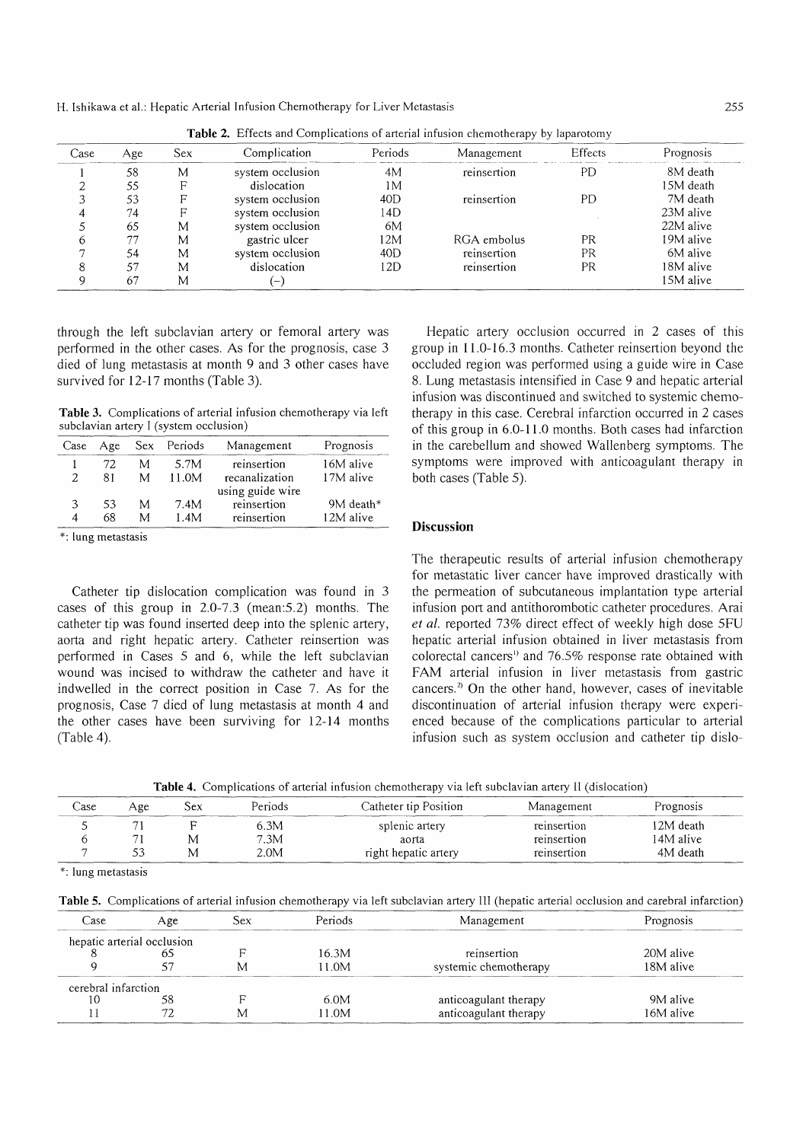H. Ishikawa et al.: Hepatic Arterial Infusion Chemotherapy for Liver Metastasis

| Case | Age | Sex | Complication     | Periods | Management  | <b>Effects</b> | Prognosis |
|------|-----|-----|------------------|---------|-------------|----------------|-----------|
|      | 58  | M   | system occlusion | 4M      | reinsertion | PD             | 8M death  |
|      | 55  |     | dislocation      | 1М      |             |                | 15M death |
|      | 53  | F   | system occlusion | 40D     | reinsertion | PD.            | 7M death  |
|      | 74  |     | system occlusion | 14D     |             |                | 23M alive |
|      | 65  | M   | system occlusion | 6M      |             |                | 22M alive |
| n    | 77  | М   | gastric ulcer    | 12M     | RGA embolus | PR             | 19M alive |
|      | 54  | M   | system occlusion | 40D     | reinsertion | PR             | 6M alive  |
|      | 57  | M   | dislocation      | 12D     | reinsertion | <b>PR</b>      | 18M alive |
| Q    | 67  | M   |                  |         |             |                | 15M alive |

Table 2. Effects and Complications of arterial infusion chemotherapy by laparotomy

through the left subclavian artery or femoral artery was performed in the other cases. As for the prognosis, case 3 died of lung metastasis at month 9 and 3 other cases have survived for 12-17 months (Table 3).

Table 3. Complications of arterial infusion chemotherapy via left subclavian artery I (system occlusion)

| Case          | Age |   | Sex Periods | Management       | Prognosis |
|---------------|-----|---|-------------|------------------|-----------|
|               | 72. | M | 5.7M        | reinsertion      | 16M alive |
| $\mathcal{L}$ | 81  | М | 11.0M       | recanalization   | 17M alive |
|               |     |   |             | using guide wire |           |
| 3             | 53  | М | 7.4M        | reinsertion      | 9M death* |
| 4             | 68  | M | 1.4M        | reinsertion      | 12M alive |

\*: lung metastasis

Catheter tip dislocation complication was found in 3 cases of this group in 2.0-7.3 (mean:5.2) months. The catheter tip was found inserted deep into the splenic artery, aorta and right hepatic artery. Catheter reinsertion was performed in Cases 5 and 6, while the left subclavian wound was incised to withdraw the catheter and have it indwelled in the correct position in Case 7. As for the prognosis, Case 7 died of lung metastasis at month 4 and the other cases have been surviving for 12-14 months (Table 4).

Hepatic artery occlusion occurred in 2 cases of this group in 11.0-16.3 months. Catheter reinsertion beyond the occluded region was performed using a guide wire in Case 8. Lung metastasis intensified in Case 9 and hepatic arterial infusion was discontinued and switched to systemic chemotherapy in this case. Cerebral infarction occurred in 2 cases of this group in 6.0-11.0 months. Both cases had infarction in the carebellum and showed Wallenberg symptoms. The symptoms were improved with anticoagulant therapy in both cases (Table 5).

## Discussion

The therapeutic results of arterial infusion chemotherapy for metastatic liver cancer have improved drastically with the permeation of subcutaneous implantation type arterial infusion port and antithorombotic catheter procedures. Arai et al. reported 73% direct effect of weekly high dose 5FU hepatic arterial infusion obtained in liver metastasis from colorectal cancers" and 76.5% response rate obtained with FAM arterial infusion in liver metastasis from gastric cancers.<sup>2)</sup> On the other hand, however, cases of inevitable discontinuation of arterial infusion therapy were experienced because of the complications particular to arterial infusion such as system occlusion and catheter tip dislo-

Table 4. Complications of arterial infusion chemotherapy via left subclavian artery 11 (dislocation)

| . ase | Age | Sex | Periods. | Catheter tip Position | Management  | Prognosis |
|-------|-----|-----|----------|-----------------------|-------------|-----------|
|       |     |     | 6.3M     | splenic artery        | reinsertion | 12M death |
|       |     |     | 7.3M     | aorta                 | reinsertion | 14M alive |
|       |     |     | 2.0M     | right hepatic artery  | reinsertion | 4M death  |

\*: lung metastasis

Table 5. Complications of arterial infusion chemotherapy via left subclavian artery III (hepatic arterial occlusion and carebral infarction)

| `ase                | Age                        | 5ex | Periods | Management            | Prognosis |
|---------------------|----------------------------|-----|---------|-----------------------|-----------|
|                     | hepatic arterial occlusion |     |         |                       |           |
|                     |                            |     | 16.3M   | reinsertion           | 20M alive |
|                     |                            | M   | 11.0M   | systemic chemotherapy | 18M alive |
| cerebral infarction |                            |     |         |                       |           |
| . O                 |                            |     | 6.0M    | anticoagulant therapy | 9M alive  |
|                     |                            | M   | 11.0M   | anticoagulant therapy | 16M alive |